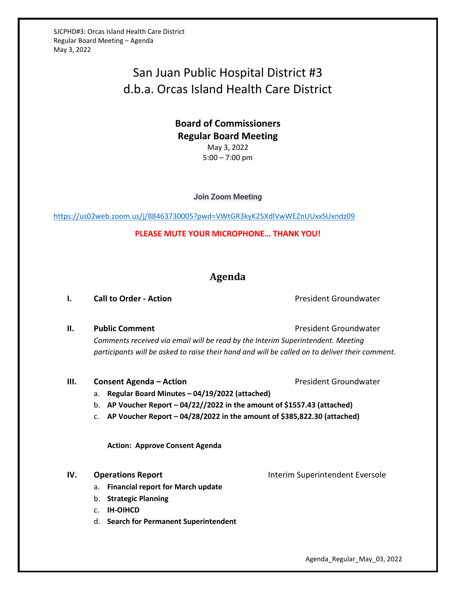SJCPHD#3: Orcas Island Health Care District Regular Board Meeting – Agenda May 3, 2022

# San Juan Public Hospital District #3 d.b.a. Orcas Island Health Care District

## **Board of Commissioners Regular Board Meeting** May 3, 2022 5:00 – 7:00 pm

**Join Zoom Meeting**

<https://us02web.zoom.us/j/88463730005?pwd=VWtGR3kyK25XdlVwWEZnUUxxSUxndz09>

**PLEASE MUTE YOUR MICROPHONE… THANK YOU!**

# **Agenda**

### **I. Call to Order - Action Call to Order - Action President Groundwater**

**II. Public Comment President Groundwater President Groundwater** *Comments received via email will be read by the Interim Superintendent. Meeting participants will be asked to raise their hand and will be called on to deliver their comment.*

### **III. Consent Agenda – Action President Groundwater**

- a. **Regular Board Minutes – 04/19/2022 (attached)**
- b. **AP Voucher Report – 04/22//2022 in the amount of \$1557.43 (attached)**
- c. **AP Voucher Report – 04/28/2022 in the amount of \$385,822.30 (attached)**

**Action: Approve Consent Agenda**

- a. **Financial report for March update**
- b. **Strategic Planning**
- c. **IH-OIHCD**
- d. **Search for Permanent Superintendent**

**IV. Operations Report IV. Operations Report INTER** 

Agenda\_Regular\_May\_03, 2022